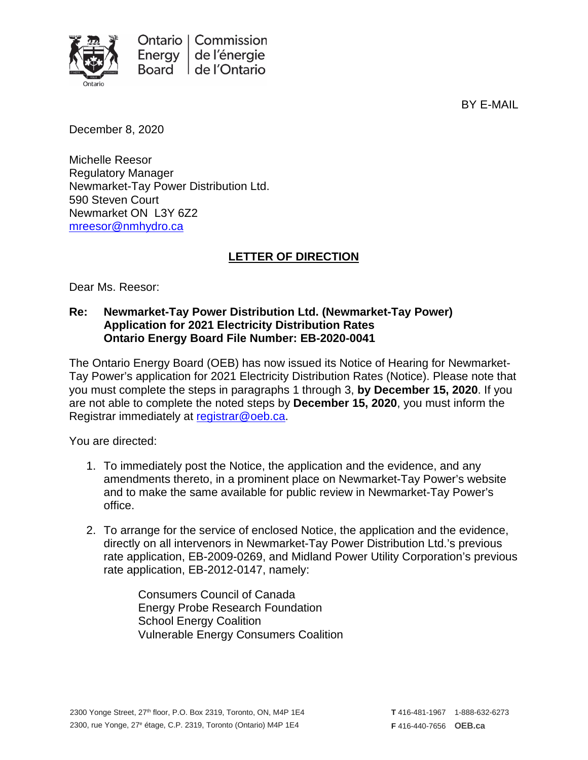

BY E-MAIL

December 8, 2020

Michelle Reesor Regulatory Manager Newmarket-Tay Power Distribution Ltd. 590 Steven Court Newmarket ON L3Y 6Z2 [mreesor@nmhydro.ca](mailto:mreesor@nmhydro.ca)

## **LETTER OF DIRECTION**

Dear Ms. Reesor:

## **Re: Newmarket-Tay Power Distribution Ltd. (Newmarket-Tay Power) Application for 2021 Electricity Distribution Rates Ontario Energy Board File Number: EB-2020-0041**

The Ontario Energy Board (OEB) has now issued its Notice of Hearing for Newmarket-Tay Power's application for 2021 Electricity Distribution Rates (Notice). Please note that you must complete the steps in paragraphs 1 through 3, **by December 15, 2020**. If you are not able to complete the noted steps by **December 15, 2020**, you must inform the Registrar immediately at [registrar@oeb.ca.](mailto:registrar@oeb.ca)

You are directed:

- 1. To immediately post the Notice, the application and the evidence, and any amendments thereto, in a prominent place on Newmarket-Tay Power's website and to make the same available for public review in Newmarket-Tay Power's office.
- 2. To arrange for the service of enclosed Notice, the application and the evidence, directly on all intervenors in Newmarket-Tay Power Distribution Ltd.'s previous rate application, EB-2009-0269, and Midland Power Utility Corporation's previous rate application, EB-2012-0147, namely:

Consumers Council of Canada Energy Probe Research Foundation School Energy Coalition Vulnerable Energy Consumers Coalition